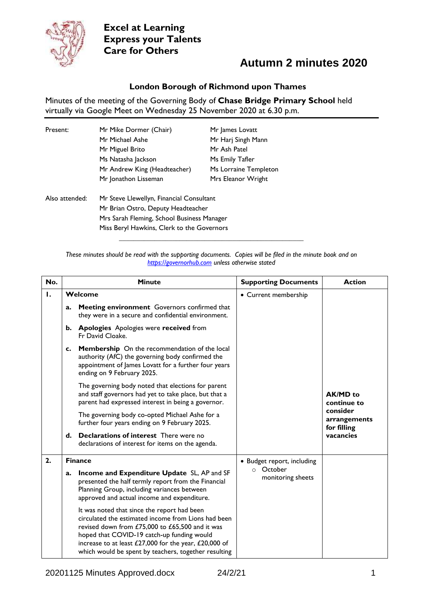

## **Autumn 2 minutes 2020**

#### **London Borough of Richmond upon Thames**

Minutes of the meeting of the Governing Body of **Chase Bridge Primary School** held virtually via Google Meet on Wednesday 25 November 2020 at 6.30 p.m.

| Present:       | Mr Mike Dormer (Chair)                     | Mr James Lovatt       |  |
|----------------|--------------------------------------------|-----------------------|--|
|                | Mr Michael Ashe                            | Mr Harj Singh Mann    |  |
|                | Mr Miguel Brito                            | Mr Ash Patel          |  |
|                | Ms Natasha Jackson                         | Ms Emily Tafler       |  |
|                | Mr Andrew King (Headteacher)               | Ms Lorraine Templeton |  |
|                | Mr Jonathon Lisseman                       | Mrs Eleanor Wright    |  |
| Also attended: | Mr Steve Llewellyn, Financial Consultant   |                       |  |
|                | Mr Brian Ostro, Deputy Headteacher         |                       |  |
|                | Mrs Sarah Fleming, School Business Manager |                       |  |
|                | Miss Beryl Hawkins, Clerk to the Governors |                       |  |

*These minutes should be read with the supporting documents. Copies will be filed in the minute book and on [https://governorhub.com](https://governorhub.com/) unless otherwise stated*

**\_\_\_\_\_\_\_\_\_\_\_\_\_\_\_\_\_\_\_\_\_\_\_\_\_\_\_\_\_\_\_\_\_\_\_\_\_\_\_\_\_\_\_\_\_\_\_\_\_\_\_\_**

| No. |         | <b>Minute</b>                                                                                                                                                                                                                                                                                                        | <b>Supporting Documents</b>                                  | <b>Action</b>                                                                          |
|-----|---------|----------------------------------------------------------------------------------------------------------------------------------------------------------------------------------------------------------------------------------------------------------------------------------------------------------------------|--------------------------------------------------------------|----------------------------------------------------------------------------------------|
| Ι.  | Welcome |                                                                                                                                                                                                                                                                                                                      | • Current membership                                         |                                                                                        |
|     | a.      | Meeting environment Governors confirmed that<br>they were in a secure and confidential environment.                                                                                                                                                                                                                  |                                                              |                                                                                        |
|     |         | b. Apologies Apologies were received from<br>Fr David Cloake.                                                                                                                                                                                                                                                        |                                                              |                                                                                        |
|     | c.      | Membership On the recommendation of the local<br>authority (AfC) the governing body confirmed the<br>appointment of James Lovatt for a further four years<br>ending on 9 February 2025.                                                                                                                              |                                                              |                                                                                        |
|     |         | The governing body noted that elections for parent<br>and staff governors had yet to take place, but that a<br>parent had expressed interest in being a governor.                                                                                                                                                    |                                                              | <b>AK/MD</b> to<br>continue to<br>consider<br>arrangements<br>for filling<br>vacancies |
|     |         | The governing body co-opted Michael Ashe for a<br>further four years ending on 9 February 2025.                                                                                                                                                                                                                      |                                                              |                                                                                        |
|     | d.      | <b>Declarations of interest</b> There were no<br>declarations of interest for items on the agenda.                                                                                                                                                                                                                   |                                                              |                                                                                        |
| 2.  |         | <b>Finance</b>                                                                                                                                                                                                                                                                                                       | • Budget report, including<br>o October<br>monitoring sheets |                                                                                        |
|     | a.      | Income and Expenditure Update SL, AP and SF<br>presented the half termly report from the Financial<br>Planning Group, including variances between<br>approved and actual income and expenditure.                                                                                                                     |                                                              |                                                                                        |
|     |         | It was noted that since the report had been<br>circulated the estimated income from Lions had been<br>revised down from £75,000 to £65,500 and it was<br>hoped that COVID-19 catch-up funding would<br>increase to at least £27,000 for the year, £20,000 of<br>which would be spent by teachers, together resulting |                                                              |                                                                                        |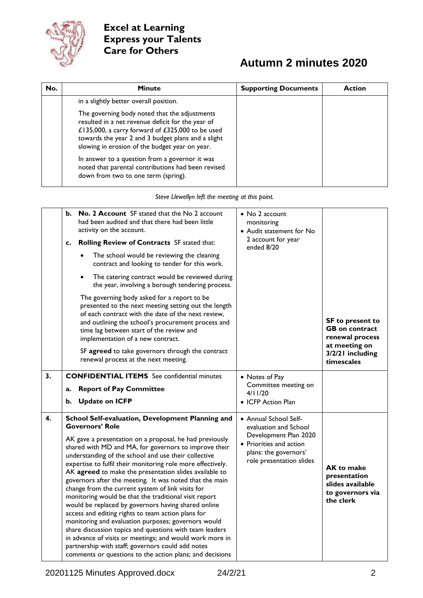

# **Autumn 2 minutes 2020**

| No. | <b>Minute</b>                                                                                                                                                                                                                                                  | <b>Supporting Documents</b> | <b>Action</b> |
|-----|----------------------------------------------------------------------------------------------------------------------------------------------------------------------------------------------------------------------------------------------------------------|-----------------------------|---------------|
|     | in a slightly better overall position.                                                                                                                                                                                                                         |                             |               |
|     | The governing body noted that the adjustments<br>resulted in a net revenue deficit for the year of<br>£135,000, a carry forward of £325,000 to be used<br>towards the year 2 and 3 budget plans and a slight<br>slowing in erosion of the budget year on year. |                             |               |
|     | In answer to a question from a governor it was<br>noted that parental contributions had been revised<br>down from two to one term (spring).                                                                                                                    |                             |               |

*Steve Llewellyn left the meeting at this point.*

|    | b.<br>c.<br>$\bullet$ | No. 2 Account SF stated that the No 2 account<br>had been audited and that there had been little<br>activity on the account.<br>Rolling Review of Contracts SF stated that:<br>The school would be reviewing the cleaning<br>contract and looking to tender for this work.<br>The catering contract would be reviewed during<br>the year, involving a borough tendering process.<br>The governing body asked for a report to be<br>presented to the next meeting setting out the length<br>of each contract with the date of the next review,<br>and outlining the school's procurement process and<br>time lag between start of the review and<br>implementation of a new contract.<br>SF agreed to take governors through the contract<br>renewal process at the next meeting.                                                                                                                                                                                     | • No 2 account<br>monitoring<br>• Audit statement for No<br>2 account for year<br>ended 8/20                                                            | <b>SF</b> to present to<br><b>GB</b> on contract<br>renewal process<br>at meeting on<br>3/2/21 including<br>timescales |
|----|-----------------------|----------------------------------------------------------------------------------------------------------------------------------------------------------------------------------------------------------------------------------------------------------------------------------------------------------------------------------------------------------------------------------------------------------------------------------------------------------------------------------------------------------------------------------------------------------------------------------------------------------------------------------------------------------------------------------------------------------------------------------------------------------------------------------------------------------------------------------------------------------------------------------------------------------------------------------------------------------------------|---------------------------------------------------------------------------------------------------------------------------------------------------------|------------------------------------------------------------------------------------------------------------------------|
| 3. | a.<br>b.              | <b>CONFIDENTIAL ITEMS</b> See confidential minutes<br><b>Report of Pay Committee</b><br><b>Update on ICFP</b>                                                                                                                                                                                                                                                                                                                                                                                                                                                                                                                                                                                                                                                                                                                                                                                                                                                        | • Notes of Pay<br>Committee meeting on<br>4/11/20<br>• ICFP Action Plan                                                                                 |                                                                                                                        |
| 4. |                       | School Self-evaluation, Development Planning and<br><b>Governors' Role</b><br>AK gave a presentation on a proposal, he had previously<br>shared with MD and MA, for governors to improve their<br>understanding of the school and use their collective<br>expertise to fulfil their monitoring role more effectively.<br>AK agreed to make the presentation slides available to<br>governors after the meeting. It was noted that the main<br>change from the current system of link visits for<br>monitoring would be that the traditional visit report<br>would be replaced by governors having shared online<br>access and editing rights to team action plans for<br>monitoring and evaluation purposes; governors would<br>share discussion topics and questions with team leaders<br>in advance of visits or meetings; and would work more in<br>partnership with staff; governors could add notes<br>comments or questions to the action plans; and decisions | • Annual School Self-<br>evaluation and School<br>Development Plan 2020<br>• Priorities and action<br>plans: the governors'<br>role presentation slides | <b>AK to make</b><br>presentation<br>slides available<br>to governors via<br>the clerk                                 |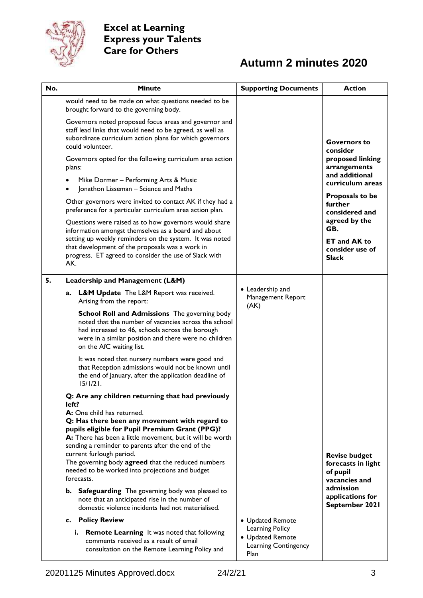

# **Autumn 2 minutes 2020**

| No. | <b>Minute</b>                                                                                                                                                                                                                                             | <b>Supporting Documents</b>                                         | <b>Action</b>                                                           |
|-----|-----------------------------------------------------------------------------------------------------------------------------------------------------------------------------------------------------------------------------------------------------------|---------------------------------------------------------------------|-------------------------------------------------------------------------|
|     | would need to be made on what questions needed to be<br>brought forward to the governing body.                                                                                                                                                            |                                                                     |                                                                         |
|     | Governors noted proposed focus areas and governor and<br>staff lead links that would need to be agreed, as well as<br>subordinate curriculum action plans for which governors                                                                             |                                                                     | <b>Governors to</b>                                                     |
|     | could volunteer.<br>Governors opted for the following curriculum area action<br>plans:                                                                                                                                                                    |                                                                     | consider<br>proposed linking<br>arrangements                            |
|     | Mike Dormer - Performing Arts & Music<br>Jonathon Lisseman - Science and Maths                                                                                                                                                                            |                                                                     | and additional<br>curriculum areas                                      |
|     | Other governors were invited to contact AK if they had a<br>preference for a particular curriculum area action plan.                                                                                                                                      |                                                                     | Proposals to be<br>further<br>considered and                            |
|     | Questions were raised as to how governors would share<br>information amongst themselves as a board and about<br>setting up weekly reminders on the system. It was noted                                                                                   |                                                                     | agreed by the<br>GB.                                                    |
|     | that development of the proposals was a work in<br>progress. ET agreed to consider the use of Slack with<br>AK.                                                                                                                                           |                                                                     | <b>ET and AK to</b><br>consider use of<br><b>Slack</b>                  |
| 5.  | Leadership and Management (L&M)                                                                                                                                                                                                                           |                                                                     |                                                                         |
|     | <b>L&amp;M Update</b> The L&M Report was received.<br>a.<br>Arising from the report:                                                                                                                                                                      | • Leadership and<br>Management Report<br>(AK)                       |                                                                         |
|     | <b>School Roll and Admissions</b> The governing body<br>noted that the number of vacancies across the school<br>had increased to 46, schools across the borough<br>were in a similar position and there were no children<br>on the AfC waiting list.      |                                                                     |                                                                         |
|     | It was noted that nursery numbers were good and<br>that Reception admissions would not be known until<br>the end of January, after the application deadline of<br>15/1/21.                                                                                |                                                                     |                                                                         |
|     | Q: Are any children returning that had previously                                                                                                                                                                                                         |                                                                     |                                                                         |
|     | left?<br>A: One child has returned.<br>Q: Has there been any movement with regard to<br>pupils eligible for Pupil Premium Grant (PPG)?<br>A: There has been a little movement, but it will be worth<br>sending a reminder to parents after the end of the |                                                                     |                                                                         |
|     | current furlough period.<br>The governing body agreed that the reduced numbers<br>needed to be worked into projections and budget<br>forecasts.                                                                                                           |                                                                     | <b>Revise budget</b><br>forecasts in light<br>of pupil<br>vacancies and |
|     | Safeguarding The governing body was pleased to<br>b.<br>note that an anticipated rise in the number of<br>domestic violence incidents had not materialised.                                                                                               |                                                                     | admission<br>applications for<br>September 2021                         |
|     | c. Policy Review                                                                                                                                                                                                                                          | • Updated Remote                                                    |                                                                         |
|     | i. Remote Learning It was noted that following<br>comments received as a result of email<br>consultation on the Remote Learning Policy and                                                                                                                | Learning Policy<br>• Updated Remote<br>Learning Contingency<br>Plan |                                                                         |